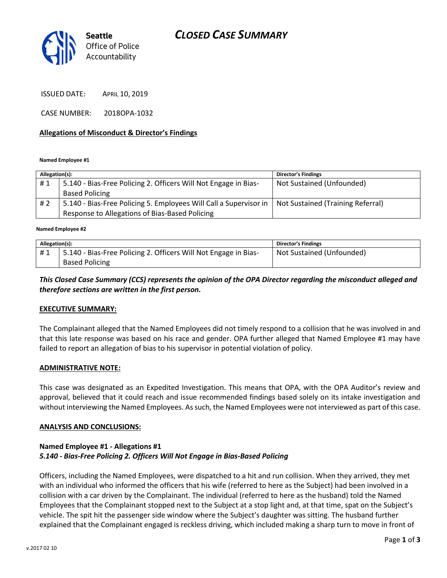# *CLOSED CASE SUMMARY*



ISSUED DATE: APRIL 10, 2019

CASE NUMBER: 2018OPA-1032

### **Allegations of Misconduct & Director's Findings**

**Named Employee #1**

| Allegation(s): |                                                                   | <b>Director's Findings</b>        |
|----------------|-------------------------------------------------------------------|-----------------------------------|
| #1             | 5.140 - Bias-Free Policing 2. Officers Will Not Engage in Bias-   | Not Sustained (Unfounded)         |
|                | <b>Based Policing</b>                                             |                                   |
| #2             | 5.140 - Bias-Free Policing 5. Employees Will Call a Supervisor in | Not Sustained (Training Referral) |
|                | Response to Allegations of Bias-Based Policing                    |                                   |
|                |                                                                   |                                   |

**Named Employee #2**

| Allegation(s): |                                                                 | Director's Findings       |
|----------------|-----------------------------------------------------------------|---------------------------|
| #1             | 5.140 - Bias-Free Policing 2. Officers Will Not Engage in Bias- | Not Sustained (Unfounded) |
|                | <b>Based Policing</b>                                           |                           |

## *This Closed Case Summary (CCS) represents the opinion of the OPA Director regarding the misconduct alleged and therefore sections are written in the first person.*

#### **EXECUTIVE SUMMARY:**

The Complainant alleged that the Named Employees did not timely respond to a collision that he was involved in and that this late response was based on his race and gender. OPA further alleged that Named Employee #1 may have failed to report an allegation of bias to his supervisor in potential violation of policy.

#### **ADMINISTRATIVE NOTE:**

This case was designated as an Expedited Investigation. This means that OPA, with the OPA Auditor's review and approval, believed that it could reach and issue recommended findings based solely on its intake investigation and without interviewing the Named Employees. As such, the Named Employees were not interviewed as part of this case.

#### **ANALYSIS AND CONCLUSIONS:**

### **Named Employee #1 - Allegations #1** *5.140 - Bias-Free Policing 2. Officers Will Not Engage in Bias-Based Policing*

Officers, including the Named Employees, were dispatched to a hit and run collision. When they arrived, they met with an individual who informed the officers that his wife (referred to here as the Subject) had been involved in a collision with a car driven by the Complainant. The individual (referred to here as the husband) told the Named Employees that the Complainant stopped next to the Subject at a stop light and, at that time, spat on the Subject's vehicle. The spit hit the passenger side window where the Subject's daughter was sitting. The husband further explained that the Complainant engaged is reckless driving, which included making a sharp turn to move in front of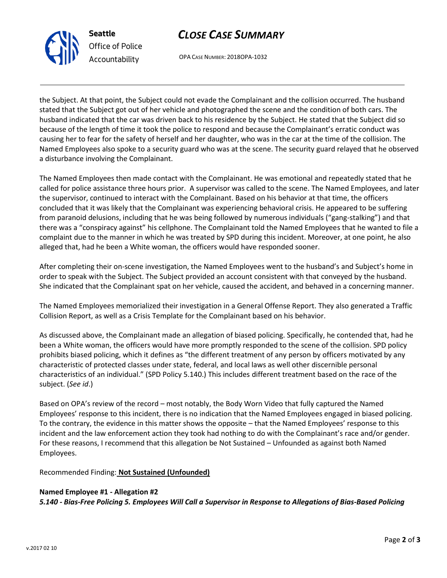



OPA CASE NUMBER: 2018OPA-1032

the Subject. At that point, the Subject could not evade the Complainant and the collision occurred. The husband stated that the Subject got out of her vehicle and photographed the scene and the condition of both cars. The husband indicated that the car was driven back to his residence by the Subject. He stated that the Subject did so because of the length of time it took the police to respond and because the Complainant's erratic conduct was causing her to fear for the safety of herself and her daughter, who was in the car at the time of the collision. The Named Employees also spoke to a security guard who was at the scene. The security guard relayed that he observed a disturbance involving the Complainant.

The Named Employees then made contact with the Complainant. He was emotional and repeatedly stated that he called for police assistance three hours prior. A supervisor was called to the scene. The Named Employees, and later the supervisor, continued to interact with the Complainant. Based on his behavior at that time, the officers concluded that it was likely that the Complainant was experiencing behavioral crisis. He appeared to be suffering from paranoid delusions, including that he was being followed by numerous individuals ("gang-stalking") and that there was a "conspiracy against" his cellphone. The Complainant told the Named Employees that he wanted to file a complaint due to the manner in which he was treated by SPD during this incident. Moreover, at one point, he also alleged that, had he been a White woman, the officers would have responded sooner.

After completing their on-scene investigation, the Named Employees went to the husband's and Subject's home in order to speak with the Subject. The Subject provided an account consistent with that conveyed by the husband. She indicated that the Complainant spat on her vehicle, caused the accident, and behaved in a concerning manner.

The Named Employees memorialized their investigation in a General Offense Report. They also generated a Traffic Collision Report, as well as a Crisis Template for the Complainant based on his behavior.

As discussed above, the Complainant made an allegation of biased policing. Specifically, he contended that, had he been a White woman, the officers would have more promptly responded to the scene of the collision. SPD policy prohibits biased policing, which it defines as "the different treatment of any person by officers motivated by any characteristic of protected classes under state, federal, and local laws as well other discernible personal characteristics of an individual." (SPD Policy 5.140.) This includes different treatment based on the race of the subject. (*See id*.)

Based on OPA's review of the record – most notably, the Body Worn Video that fully captured the Named Employees' response to this incident, there is no indication that the Named Employees engaged in biased policing. To the contrary, the evidence in this matter shows the opposite – that the Named Employees' response to this incident and the law enforcement action they took had nothing to do with the Complainant's race and/or gender. For these reasons, I recommend that this allegation be Not Sustained – Unfounded as against both Named Employees.

Recommended Finding: **Not Sustained (Unfounded)**

## **Named Employee #1 - Allegation #2**

*5.140 - Bias-Free Policing 5. Employees Will Call a Supervisor in Response to Allegations of Bias-Based Policing*